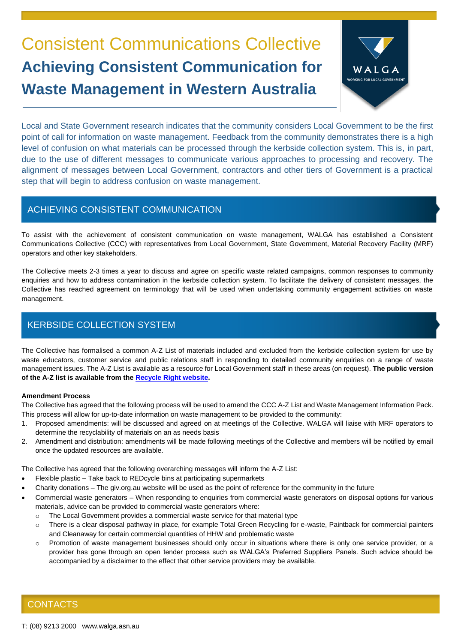# Consistent Communications Collective **Achieving Consistent Communication for Waste Management in Western Australia**



Local and State Government research indicates that the community considers Local Government to be the first point of call for information on waste management. Feedback from the community demonstrates there is a high level of confusion on what materials can be processed through the kerbside collection system. This is, in part, due to the use of different messages to communicate various approaches to processing and recovery. The alignment of messages between Local Government, contractors and other tiers of Government is a practical step that will begin to address confusion on waste management.

## ACHIEVING CONSISTENT COMMUNICATION

To assist with the achievement of consistent communication on waste management, WALGA has established a Consistent Communications Collective (CCC) with representatives from Local Government, State Government, Material Recovery Facility (MRF) operators and other key stakeholders.

The Collective meets 2-3 times a year to discuss and agree on specific waste related campaigns, common responses to community enquiries and how to address contamination in the kerbside collection system. To facilitate the delivery of consistent messages, the Collective has reached agreement on terminology that will be used when undertaking community engagement activities on waste management.

## KERBSIDE COLLECTION SYSTEM

The Collective has formalised a common A-Z List of materials included and excluded from the kerbside collection system for use by waste educators, customer service and public relations staff in responding to detailed community enquiries on a range of waste management issues. The A-Z List is available as a resource for Local Government staff in these areas (on request). **The public version of the A-Z list is available from the [Recycle Right website.](https://recycleright.wa.gov.au/a-z/)**

#### **Amendment Process**

The Collective has agreed that the following process will be used to amend the CCC A-Z List and Waste Management Information Pack. This process will allow for up-to-date information on waste management to be provided to the community:

- 1. Proposed amendments: will be discussed and agreed on at meetings of the Collective. WALGA will liaise with MRF operators to determine the recyclability of materials on an as needs basis
- 2. Amendment and distribution: amendments will be made following meetings of the Collective and members will be notified by email once the updated resources are available.

The Collective has agreed that the following overarching messages will inform the A-Z List:

- Flexible plastic Take back to REDcycle bins at participating supermarkets
- Charity donations The giv.org.au website will be used as the point of reference for the community in the future
- Commercial waste generators When responding to enquiries from commercial waste generators on disposal options for various materials, advice can be provided to commercial waste generators where:
	- $\circ$  The Local Government provides a commercial waste service for that material type
	- o There is a clear disposal pathway in place, for example Total Green Recycling for e-waste, Paintback for commercial painters and Cleanaway for certain commercial quantities of HHW and problematic waste
	- o Promotion of waste management businesses should only occur in situations where there is only one service provider, or a provider has gone through an open tender process such as WALGA's Preferred Suppliers Panels. Such advice should be accompanied by a disclaimer to the effect that other service providers may be available.

## **CONTACTS**